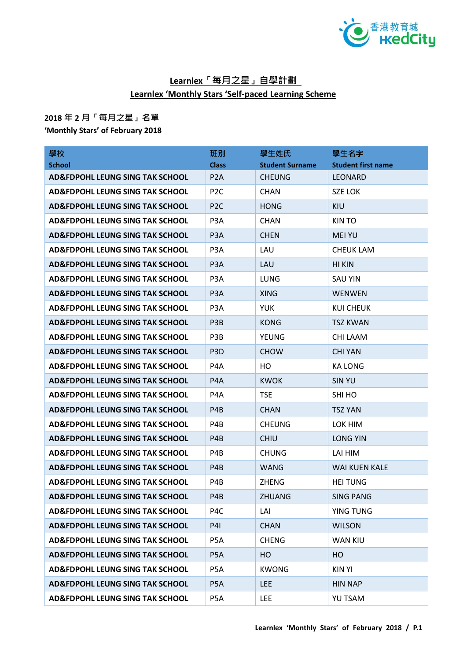

## **Learnlex「每月之星」自學計劃 Learnlex 'Monthly Stars 'Self-paced Learning Scheme**

## **2018 年 2 月「每月之星」名單**

**'Monthly Stars' of February 2018**

| 學校                                         | 班別               | 學生姓氏                   | 學生名字                      |
|--------------------------------------------|------------------|------------------------|---------------------------|
| <b>School</b>                              | <b>Class</b>     | <b>Student Surname</b> | <b>Student first name</b> |
| <b>AD&amp;FDPOHL LEUNG SING TAK SCHOOL</b> | P <sub>2</sub> A | <b>CHEUNG</b>          | <b>LEONARD</b>            |
| <b>AD&amp;FDPOHL LEUNG SING TAK SCHOOL</b> | P <sub>2</sub> C | <b>CHAN</b>            | <b>SZE LOK</b>            |
| <b>AD&amp;FDPOHL LEUNG SING TAK SCHOOL</b> | P <sub>2</sub> C | <b>HONG</b>            | <b>KIU</b>                |
| <b>AD&amp;FDPOHL LEUNG SING TAK SCHOOL</b> | P <sub>3</sub> A | <b>CHAN</b>            | <b>KINTO</b>              |
| <b>AD&amp;FDPOHL LEUNG SING TAK SCHOOL</b> | P <sub>3</sub> A | <b>CHEN</b>            | <b>MEI YU</b>             |
| AD&FDPOHL LEUNG SING TAK SCHOOL            | P <sub>3</sub> A | LAU                    | <b>CHEUK LAM</b>          |
| <b>AD&amp;FDPOHL LEUNG SING TAK SCHOOL</b> | P <sub>3</sub> A | LAU                    | HI KIN                    |
| <b>AD&amp;FDPOHL LEUNG SING TAK SCHOOL</b> | P <sub>3</sub> A | <b>LUNG</b>            | <b>SAU YIN</b>            |
| <b>AD&amp;FDPOHL LEUNG SING TAK SCHOOL</b> | P <sub>3</sub> A | <b>XING</b>            | <b>WENWEN</b>             |
| <b>AD&amp;FDPOHL LEUNG SING TAK SCHOOL</b> | P <sub>3</sub> A | <b>YUK</b>             | KUI CHEUK                 |
| <b>AD&amp;FDPOHL LEUNG SING TAK SCHOOL</b> | P <sub>3</sub> B | <b>KONG</b>            | <b>TSZ KWAN</b>           |
| <b>AD&amp;FDPOHL LEUNG SING TAK SCHOOL</b> | P3B              | <b>YEUNG</b>           | CHI LAAM                  |
| <b>AD&amp;FDPOHL LEUNG SING TAK SCHOOL</b> | P <sub>3</sub> D | <b>CHOW</b>            | <b>CHI YAN</b>            |
| <b>AD&amp;FDPOHL LEUNG SING TAK SCHOOL</b> | P4A              | HO                     | KA LONG                   |
| <b>AD&amp;FDPOHL LEUNG SING TAK SCHOOL</b> | P4A              | <b>KWOK</b>            | <b>SIN YU</b>             |
| <b>AD&amp;FDPOHL LEUNG SING TAK SCHOOL</b> | P4A              | <b>TSE</b>             | SHI HO                    |
| <b>AD&amp;FDPOHL LEUNG SING TAK SCHOOL</b> | P <sub>4</sub> B | <b>CHAN</b>            | <b>TSZ YAN</b>            |
| <b>AD&amp;FDPOHL LEUNG SING TAK SCHOOL</b> | P4B              | <b>CHEUNG</b>          | LOK HIM                   |
| <b>AD&amp;FDPOHL LEUNG SING TAK SCHOOL</b> | P <sub>4</sub> B | <b>CHIU</b>            | <b>LONG YIN</b>           |
| <b>AD&amp;FDPOHL LEUNG SING TAK SCHOOL</b> | P4B              | <b>CHUNG</b>           | LAI HIM                   |
| <b>AD&amp;FDPOHL LEUNG SING TAK SCHOOL</b> | P4B              | <b>WANG</b>            | <b>WAI KUEN KALE</b>      |
| <b>AD&amp;FDPOHL LEUNG SING TAK SCHOOL</b> | P4B              | <b>ZHENG</b>           | <b>HEI TUNG</b>           |
| <b>AD&amp;FDPOHL LEUNG SING TAK SCHOOL</b> | P4B              | ZHUANG                 | <b>SING PANG</b>          |
| <b>AD&amp;FDPOHL LEUNG SING TAK SCHOOL</b> | P <sub>4</sub> C | LAI                    | YING TUNG                 |
| <b>AD&amp;FDPOHL LEUNG SING TAK SCHOOL</b> | <b>P41</b>       | <b>CHAN</b>            | <b>WILSON</b>             |
| <b>AD&amp;FDPOHL LEUNG SING TAK SCHOOL</b> | P5A              | <b>CHENG</b>           | <b>WAN KIU</b>            |
| <b>AD&amp;FDPOHL LEUNG SING TAK SCHOOL</b> | P <sub>5</sub> A | HO                     | HO                        |
| <b>AD&amp;FDPOHL LEUNG SING TAK SCHOOL</b> | P5A              | <b>KWONG</b>           | <b>KIN YI</b>             |
| <b>AD&amp;FDPOHL LEUNG SING TAK SCHOOL</b> | P <sub>5</sub> A | <b>LEE</b>             | <b>HIN NAP</b>            |
| <b>AD&amp;FDPOHL LEUNG SING TAK SCHOOL</b> | P <sub>5</sub> A | <b>LEE</b>             | YU TSAM                   |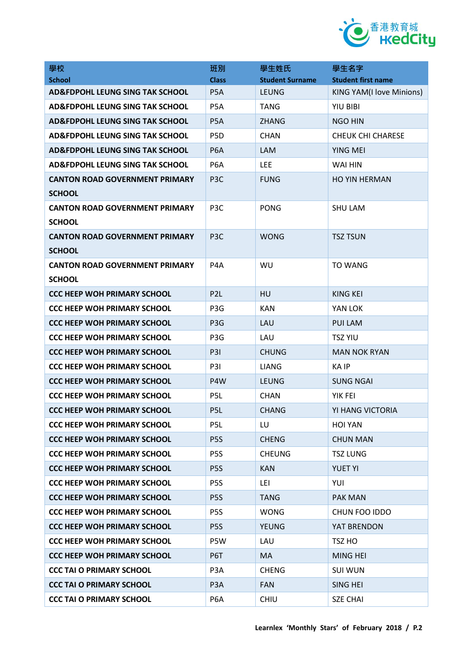

| 學校                                         | 班別               | 學生姓氏                   | 學生名字                      |
|--------------------------------------------|------------------|------------------------|---------------------------|
| <b>School</b>                              | <b>Class</b>     | <b>Student Surname</b> | <b>Student first name</b> |
| <b>AD&amp;FDPOHL LEUNG SING TAK SCHOOL</b> | P <sub>5</sub> A | <b>LEUNG</b>           | KING YAM(I love Minions)  |
| <b>AD&amp;FDPOHL LEUNG SING TAK SCHOOL</b> | P <sub>5</sub> A | <b>TANG</b>            | <b>YIU BIBI</b>           |
| <b>AD&amp;FDPOHL LEUNG SING TAK SCHOOL</b> | P <sub>5</sub> A | <b>ZHANG</b>           | <b>NGO HIN</b>            |
| <b>AD&amp;FDPOHL LEUNG SING TAK SCHOOL</b> | P <sub>5</sub> D | <b>CHAN</b>            | <b>CHEUK CHI CHARESE</b>  |
| <b>AD&amp;FDPOHL LEUNG SING TAK SCHOOL</b> | P <sub>6</sub> A | <b>LAM</b>             | YING MEI                  |
| <b>AD&amp;FDPOHL LEUNG SING TAK SCHOOL</b> | P <sub>6</sub> A | <b>LEE</b>             | WAI HIN                   |
| <b>CANTON ROAD GOVERNMENT PRIMARY</b>      | P <sub>3</sub> C | <b>FUNG</b>            | <b>HO YIN HERMAN</b>      |
| <b>SCHOOL</b>                              |                  |                        |                           |
| <b>CANTON ROAD GOVERNMENT PRIMARY</b>      | P <sub>3</sub> C | <b>PONG</b>            | <b>SHU LAM</b>            |
| <b>SCHOOL</b>                              |                  |                        |                           |
| <b>CANTON ROAD GOVERNMENT PRIMARY</b>      | P <sub>3</sub> C | <b>WONG</b>            | <b>TSZ TSUN</b>           |
| <b>SCHOOL</b>                              |                  |                        |                           |
| <b>CANTON ROAD GOVERNMENT PRIMARY</b>      | P <sub>4</sub> A | WU                     | <b>TO WANG</b>            |
| <b>SCHOOL</b>                              |                  |                        |                           |
| <b>CCC HEEP WOH PRIMARY SCHOOL</b>         | P <sub>2L</sub>  | HU                     | <b>KING KEI</b>           |
| <b>CCC HEEP WOH PRIMARY SCHOOL</b>         | P <sub>3</sub> G | <b>KAN</b>             | YAN LOK                   |
| <b>CCC HEEP WOH PRIMARY SCHOOL</b>         | P <sub>3</sub> G | LAU                    | <b>PUI LAM</b>            |
| <b>CCC HEEP WOH PRIMARY SCHOOL</b>         | P <sub>3</sub> G | LAU                    | <b>TSZ YIU</b>            |
| <b>CCC HEEP WOH PRIMARY SCHOOL</b>         | <b>P31</b>       | <b>CHUNG</b>           | <b>MAN NOK RYAN</b>       |
| <b>CCC HEEP WOH PRIMARY SCHOOL</b>         | P <sub>3</sub>   | LIANG                  | KA IP                     |
| <b>CCC HEEP WOH PRIMARY SCHOOL</b>         | P4W              | <b>LEUNG</b>           | <b>SUNG NGAI</b>          |
| <b>CCC HEEP WOH PRIMARY SCHOOL</b>         | P <sub>5L</sub>  | <b>CHAN</b>            | YIK FEI                   |
| <b>CCC HEEP WOH PRIMARY SCHOOL</b>         | P <sub>5L</sub>  | <b>CHANG</b>           | YI HANG VICTORIA          |
| <b>CCC HEEP WOH PRIMARY SCHOOL</b>         | P5L              | LU                     | <b>HOI YAN</b>            |
| <b>CCC HEEP WOH PRIMARY SCHOOL</b>         | P <sub>5</sub> S | <b>CHENG</b>           | <b>CHUN MAN</b>           |
| <b>CCC HEEP WOH PRIMARY SCHOOL</b>         | P <sub>5</sub> S | <b>CHEUNG</b>          | <b>TSZ LUNG</b>           |
| <b>CCC HEEP WOH PRIMARY SCHOOL</b>         | P <sub>5</sub> S | <b>KAN</b>             | <b>YUET YI</b>            |
| <b>CCC HEEP WOH PRIMARY SCHOOL</b>         | P <sub>5</sub> S | LEI                    | YUI                       |
| <b>CCC HEEP WOH PRIMARY SCHOOL</b>         | P <sub>5</sub> S | <b>TANG</b>            | <b>PAK MAN</b>            |
| <b>CCC HEEP WOH PRIMARY SCHOOL</b>         | P <sub>5</sub> S | <b>WONG</b>            | CHUN FOO IDDO             |
| <b>CCC HEEP WOH PRIMARY SCHOOL</b>         | P <sub>5</sub> S | <b>YEUNG</b>           | YAT BRENDON               |
| <b>CCC HEEP WOH PRIMARY SCHOOL</b>         | P5W              | LAU                    | TSZ HO                    |
| <b>CCC HEEP WOH PRIMARY SCHOOL</b>         | P6T              | MA                     | <b>MING HEI</b>           |
| <b>CCC TAI O PRIMARY SCHOOL</b>            | P <sub>3</sub> A | <b>CHENG</b>           | <b>SUI WUN</b>            |
| <b>CCC TAI O PRIMARY SCHOOL</b>            | P <sub>3</sub> A | <b>FAN</b>             | SING HEI                  |
| <b>CCC TAI O PRIMARY SCHOOL</b>            | P <sub>6</sub> A | <b>CHIU</b>            | <b>SZE CHAI</b>           |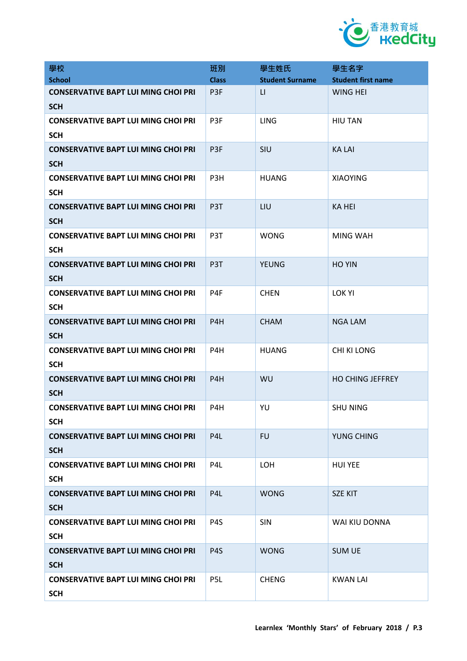

| 學校                                                       | 班別               | 學生姓氏                    | 學生名字                      |
|----------------------------------------------------------|------------------|-------------------------|---------------------------|
| <b>School</b>                                            | <b>Class</b>     | <b>Student Surname</b>  | <b>Student first name</b> |
| <b>CONSERVATIVE BAPT LUI MING CHOI PRI</b><br><b>SCH</b> | P <sub>3F</sub>  | $\lfloor \cdot \rfloor$ | <b>WING HEI</b>           |
| <b>CONSERVATIVE BAPT LUI MING CHOI PRI</b><br><b>SCH</b> | P3F              | <b>LING</b>             | <b>HIU TAN</b>            |
| <b>CONSERVATIVE BAPT LUI MING CHOI PRI</b><br><b>SCH</b> | P3F              | SIU                     | <b>KALAI</b>              |
| <b>CONSERVATIVE BAPT LUI MING CHOI PRI</b><br><b>SCH</b> | P3H              | <b>HUANG</b>            | <b>XIAOYING</b>           |
| <b>CONSERVATIVE BAPT LUI MING CHOI PRI</b><br><b>SCH</b> | P3T              | LIU                     | <b>KA HEI</b>             |
| <b>CONSERVATIVE BAPT LUI MING CHOI PRI</b><br><b>SCH</b> | P <sub>3</sub> T | <b>WONG</b>             | <b>MING WAH</b>           |
| <b>CONSERVATIVE BAPT LUI MING CHOI PRI</b><br><b>SCH</b> | P <sub>3</sub> T | <b>YEUNG</b>            | <b>HO YIN</b>             |
| <b>CONSERVATIVE BAPT LUI MING CHOI PRI</b><br><b>SCH</b> | P4F              | <b>CHEN</b>             | <b>LOK YI</b>             |
| <b>CONSERVATIVE BAPT LUI MING CHOI PRI</b><br><b>SCH</b> | P4H              | <b>CHAM</b>             | <b>NGA LAM</b>            |
| <b>CONSERVATIVE BAPT LUI MING CHOI PRI</b><br><b>SCH</b> | P4H              | <b>HUANG</b>            | CHI KI LONG               |
| <b>CONSERVATIVE BAPT LUI MING CHOI PRI</b><br><b>SCH</b> | P4H              | WU                      | <b>HO CHING JEFFREY</b>   |
| <b>CONSERVATIVE BAPT LUI MING CHOI PRI</b><br><b>SCH</b> | P <sub>4</sub> H | YU                      | <b>SHU NING</b>           |
| <b>CONSERVATIVE BAPT LUI MING CHOI PRI</b><br><b>SCH</b> | P <sub>4</sub> L | <b>FU</b>               | YUNG CHING                |
| <b>CONSERVATIVE BAPT LUI MING CHOI PRI</b><br><b>SCH</b> | P4L              | LOH                     | <b>HUI YEE</b>            |
| <b>CONSERVATIVE BAPT LUI MING CHOI PRI</b><br><b>SCH</b> | P <sub>4</sub> L | <b>WONG</b>             | <b>SZE KIT</b>            |
| <b>CONSERVATIVE BAPT LUI MING CHOI PRI</b><br><b>SCH</b> | P <sub>4</sub> S | SIN                     | WAI KIU DONNA             |
| <b>CONSERVATIVE BAPT LUI MING CHOI PRI</b><br><b>SCH</b> | P <sub>4</sub> S | <b>WONG</b>             | <b>SUM UE</b>             |
| <b>CONSERVATIVE BAPT LUI MING CHOI PRI</b><br><b>SCH</b> | P <sub>5L</sub>  | <b>CHENG</b>            | <b>KWAN LAI</b>           |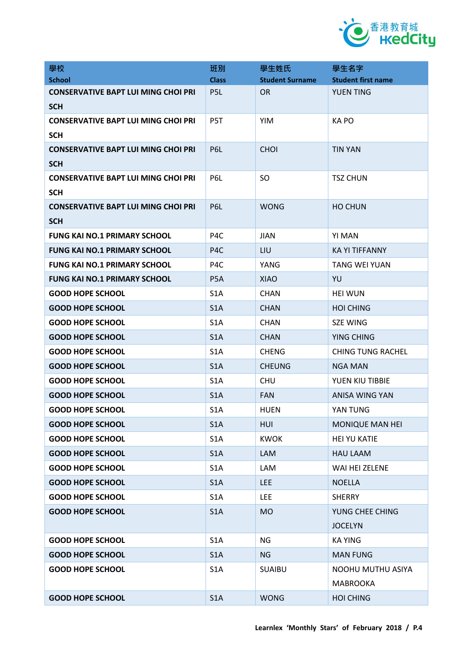

| 學校                                         | 班別               | 學生姓氏                   | 學生名字                      |
|--------------------------------------------|------------------|------------------------|---------------------------|
| <b>School</b>                              | <b>Class</b>     | <b>Student Surname</b> | <b>Student first name</b> |
| <b>CONSERVATIVE BAPT LUI MING CHOI PRI</b> | P <sub>5</sub> L | <b>OR</b>              | <b>YUEN TING</b>          |
| <b>SCH</b>                                 |                  |                        |                           |
| <b>CONSERVATIVE BAPT LUI MING CHOI PRI</b> | P5T              | <b>YIM</b>             | KA PO                     |
| <b>SCH</b>                                 |                  |                        |                           |
| <b>CONSERVATIVE BAPT LUI MING CHOI PRI</b> | P6L              | <b>CHOI</b>            | <b>TIN YAN</b>            |
| <b>SCH</b>                                 |                  |                        |                           |
| <b>CONSERVATIVE BAPT LUI MING CHOI PRI</b> | P6L              | <b>SO</b>              | <b>TSZ CHUN</b>           |
| <b>SCH</b>                                 |                  |                        |                           |
| <b>CONSERVATIVE BAPT LUI MING CHOI PRI</b> | P6L              | <b>WONG</b>            | <b>HO CHUN</b>            |
| <b>SCH</b>                                 |                  |                        |                           |
| <b>FUNG KAI NO.1 PRIMARY SCHOOL</b>        | P <sub>4</sub> C | <b>JIAN</b>            | YI MAN                    |
| <b>FUNG KAI NO.1 PRIMARY SCHOOL</b>        | P <sub>4</sub> C | LIU                    | <b>KA YI TIFFANNY</b>     |
| <b>FUNG KAI NO.1 PRIMARY SCHOOL</b>        | P <sub>4</sub> C | YANG                   | <b>TANG WEI YUAN</b>      |
| <b>FUNG KAI NO.1 PRIMARY SCHOOL</b>        | P <sub>5</sub> A | <b>XIAO</b>            | YU                        |
| <b>GOOD HOPE SCHOOL</b>                    | S <sub>1</sub> A | <b>CHAN</b>            | <b>HEI WUN</b>            |
| <b>GOOD HOPE SCHOOL</b>                    | S <sub>1</sub> A | <b>CHAN</b>            | <b>HOI CHING</b>          |
| <b>GOOD HOPE SCHOOL</b>                    | S <sub>1</sub> A | <b>CHAN</b>            | <b>SZE WING</b>           |
| <b>GOOD HOPE SCHOOL</b>                    | S <sub>1</sub> A | <b>CHAN</b>            | YING CHING                |
| <b>GOOD HOPE SCHOOL</b>                    | S <sub>1</sub> A | <b>CHENG</b>           | <b>CHING TUNG RACHEL</b>  |
| <b>GOOD HOPE SCHOOL</b>                    | S <sub>1</sub> A | <b>CHEUNG</b>          | <b>NGA MAN</b>            |
| <b>GOOD HOPE SCHOOL</b>                    | S <sub>1</sub> A | <b>CHU</b>             | YUEN KIU TIBBIE           |
| <b>GOOD HOPE SCHOOL</b>                    | S <sub>1</sub> A | <b>FAN</b>             | ANISA WING YAN            |
| <b>GOOD HOPE SCHOOL</b>                    | S <sub>1</sub> A | <b>HUEN</b>            | YAN TUNG                  |
| <b>GOOD HOPE SCHOOL</b>                    | S1A              | HUI                    | <b>MONIQUE MAN HEI</b>    |
| <b>GOOD HOPE SCHOOL</b>                    | S <sub>1</sub> A | <b>KWOK</b>            | <b>HEI YU KATIE</b>       |
| <b>GOOD HOPE SCHOOL</b>                    | S1A              | <b>LAM</b>             | <b>HAU LAAM</b>           |
| <b>GOOD HOPE SCHOOL</b>                    | S <sub>1</sub> A | LAM                    | WAI HEI ZELENE            |
| <b>GOOD HOPE SCHOOL</b>                    | S <sub>1</sub> A | <b>LEE</b>             | <b>NOELLA</b>             |
| <b>GOOD HOPE SCHOOL</b>                    | S <sub>1</sub> A | <b>LEE</b>             | <b>SHERRY</b>             |
| <b>GOOD HOPE SCHOOL</b>                    | S1A              | <b>MO</b>              | YUNG CHEE CHING           |
|                                            |                  |                        | <b>JOCELYN</b>            |
| <b>GOOD HOPE SCHOOL</b>                    | S <sub>1</sub> A | NG                     | <b>KA YING</b>            |
| <b>GOOD HOPE SCHOOL</b>                    | S <sub>1</sub> A | <b>NG</b>              | <b>MAN FUNG</b>           |
| <b>GOOD HOPE SCHOOL</b>                    | S <sub>1</sub> A | <b>SUAIBU</b>          | NOOHU MUTHU ASIYA         |
|                                            |                  |                        | <b>MABROOKA</b>           |
| <b>GOOD HOPE SCHOOL</b>                    | S1A              | <b>WONG</b>            | <b>HOI CHING</b>          |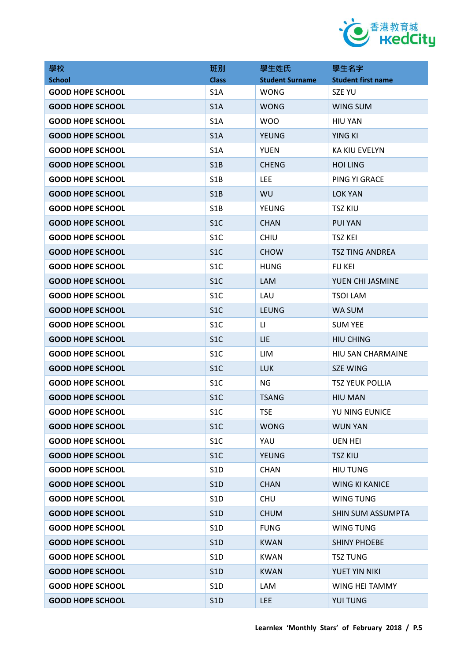

| 學校                      | 班別               | 學生姓氏                   | 學生名字                      |
|-------------------------|------------------|------------------------|---------------------------|
| <b>School</b>           | <b>Class</b>     | <b>Student Surname</b> | <b>Student first name</b> |
| <b>GOOD HOPE SCHOOL</b> | S <sub>1</sub> A | <b>WONG</b>            | <b>SZE YU</b>             |
| <b>GOOD HOPE SCHOOL</b> | S1A              | <b>WONG</b>            | WING SUM                  |
| <b>GOOD HOPE SCHOOL</b> | S <sub>1</sub> A | <b>WOO</b>             | <b>HIU YAN</b>            |
| <b>GOOD HOPE SCHOOL</b> | S1A              | <b>YEUNG</b>           | YING KI                   |
| <b>GOOD HOPE SCHOOL</b> | S <sub>1</sub> A | <b>YUEN</b>            | <b>KA KIU EVELYN</b>      |
| <b>GOOD HOPE SCHOOL</b> | S1B              | <b>CHENG</b>           | <b>HOI LING</b>           |
| <b>GOOD HOPE SCHOOL</b> | S <sub>1</sub> B | <b>LEE</b>             | PING YI GRACE             |
| <b>GOOD HOPE SCHOOL</b> | S1B              | <b>WU</b>              | <b>LOK YAN</b>            |
| <b>GOOD HOPE SCHOOL</b> | S <sub>1</sub> B | <b>YEUNG</b>           | <b>TSZ KIU</b>            |
| <b>GOOD HOPE SCHOOL</b> | S <sub>1</sub> C | <b>CHAN</b>            | <b>PUI YAN</b>            |
| <b>GOOD HOPE SCHOOL</b> | S <sub>1</sub> C | <b>CHIU</b>            | <b>TSZ KEI</b>            |
| <b>GOOD HOPE SCHOOL</b> | S <sub>1</sub> C | <b>CHOW</b>            | <b>TSZ TING ANDREA</b>    |
| <b>GOOD HOPE SCHOOL</b> | S <sub>1</sub> C | <b>HUNG</b>            | <b>FU KEI</b>             |
| <b>GOOD HOPE SCHOOL</b> | S <sub>1</sub> C | <b>LAM</b>             | YUEN CHI JASMINE          |
| <b>GOOD HOPE SCHOOL</b> | S <sub>1</sub> C | LAU                    | <b>TSOI LAM</b>           |
| <b>GOOD HOPE SCHOOL</b> | S <sub>1</sub> C | <b>LEUNG</b>           | WA SUM                    |
| <b>GOOD HOPE SCHOOL</b> | S <sub>1</sub> C | LI                     | <b>SUM YEE</b>            |
| <b>GOOD HOPE SCHOOL</b> | S <sub>1</sub> C | LIE                    | <b>HIU CHING</b>          |
| <b>GOOD HOPE SCHOOL</b> | S <sub>1</sub> C | LIM                    | HIU SAN CHARMAINE         |
| <b>GOOD HOPE SCHOOL</b> | S <sub>1</sub> C | <b>LUK</b>             | <b>SZE WING</b>           |
| <b>GOOD HOPE SCHOOL</b> | S <sub>1</sub> C | NG                     | <b>TSZ YEUK POLLIA</b>    |
| <b>GOOD HOPE SCHOOL</b> | S <sub>1</sub> C | <b>TSANG</b>           | <b>HIU MAN</b>            |
| <b>GOOD HOPE SCHOOL</b> | S1C              | <b>TSE</b>             | YU NING EUNICE            |
| <b>GOOD HOPE SCHOOL</b> | S <sub>1</sub> C | <b>WONG</b>            | <b>WUN YAN</b>            |
| <b>GOOD HOPE SCHOOL</b> | S <sub>1</sub> C | YAU                    | <b>UEN HEI</b>            |
| <b>GOOD HOPE SCHOOL</b> | S <sub>1</sub> C | <b>YEUNG</b>           | <b>TSZ KIU</b>            |
| <b>GOOD HOPE SCHOOL</b> | S <sub>1</sub> D | <b>CHAN</b>            | <b>HIU TUNG</b>           |
| <b>GOOD HOPE SCHOOL</b> | S1D              | <b>CHAN</b>            | <b>WING KI KANICE</b>     |
| <b>GOOD HOPE SCHOOL</b> | S <sub>1</sub> D | <b>CHU</b>             | <b>WING TUNG</b>          |
| <b>GOOD HOPE SCHOOL</b> | S1D              | <b>CHUM</b>            | SHIN SUM ASSUMPTA         |
| <b>GOOD HOPE SCHOOL</b> | S <sub>1</sub> D | <b>FUNG</b>            | WING TUNG                 |
| <b>GOOD HOPE SCHOOL</b> | S1D              | <b>KWAN</b>            | <b>SHINY PHOEBE</b>       |
| <b>GOOD HOPE SCHOOL</b> | S1D              | <b>KWAN</b>            | <b>TSZ TUNG</b>           |
| <b>GOOD HOPE SCHOOL</b> | S1D              | <b>KWAN</b>            | YUET YIN NIKI             |
| <b>GOOD HOPE SCHOOL</b> | S <sub>1</sub> D | LAM                    | WING HEI TAMMY            |
| <b>GOOD HOPE SCHOOL</b> | S1D              | <b>LEE</b>             | YUI TUNG                  |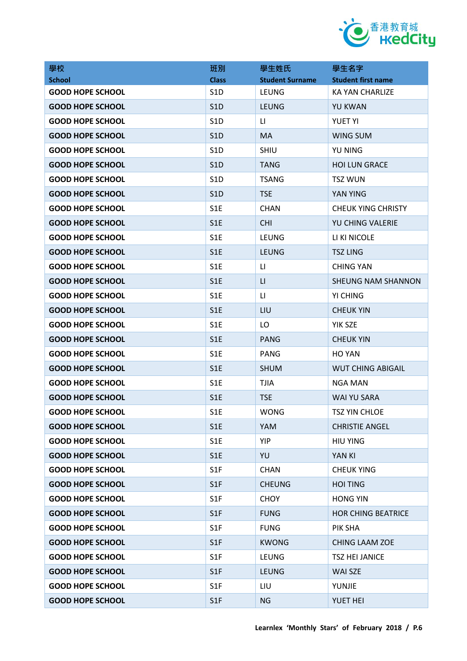

| 學校                      | 班別               | 學生姓氏                    | 學生名字                      |
|-------------------------|------------------|-------------------------|---------------------------|
| <b>School</b>           | <b>Class</b>     | <b>Student Surname</b>  | <b>Student first name</b> |
| <b>GOOD HOPE SCHOOL</b> | S <sub>1</sub> D | <b>LEUNG</b>            | KA YAN CHARLIZE           |
| <b>GOOD HOPE SCHOOL</b> | S1D              | <b>LEUNG</b>            | <b>YU KWAN</b>            |
| <b>GOOD HOPE SCHOOL</b> | S <sub>1</sub> D | $\mathsf{L}\mathsf{L}$  | <b>YUET YI</b>            |
| <b>GOOD HOPE SCHOOL</b> | S1D              | <b>MA</b>               | <b>WING SUM</b>           |
| <b>GOOD HOPE SCHOOL</b> | S <sub>1</sub> D | <b>SHIU</b>             | <b>YU NING</b>            |
| <b>GOOD HOPE SCHOOL</b> | S1D              | <b>TANG</b>             | <b>HOI LUN GRACE</b>      |
| <b>GOOD HOPE SCHOOL</b> | S <sub>1</sub> D | <b>TSANG</b>            | <b>TSZ WUN</b>            |
| <b>GOOD HOPE SCHOOL</b> | S1D              | <b>TSE</b>              | YAN YING                  |
| <b>GOOD HOPE SCHOOL</b> | S <sub>1</sub> E | <b>CHAN</b>             | <b>CHEUK YING CHRISTY</b> |
| <b>GOOD HOPE SCHOOL</b> | S <sub>1</sub> E | <b>CHI</b>              | YU CHING VALERIE          |
| <b>GOOD HOPE SCHOOL</b> | S <sub>1</sub> E | <b>LEUNG</b>            | LI KI NICOLE              |
| <b>GOOD HOPE SCHOOL</b> | S <sub>1</sub> E | <b>LEUNG</b>            | <b>TSZ LING</b>           |
| <b>GOOD HOPE SCHOOL</b> | S <sub>1</sub> E | LI                      | <b>CHING YAN</b>          |
| <b>GOOD HOPE SCHOOL</b> | S1E              | $\mathsf{L}\mathsf{L}%$ | <b>SHEUNG NAM SHANNON</b> |
| <b>GOOD HOPE SCHOOL</b> | S1E              | LI                      | YI CHING                  |
| <b>GOOD HOPE SCHOOL</b> | S1E              | LIU                     | <b>CHEUK YIN</b>          |
| <b>GOOD HOPE SCHOOL</b> | S1E              | LO                      | YIK SZE                   |
| <b>GOOD HOPE SCHOOL</b> | S1E              | <b>PANG</b>             | <b>CHEUK YIN</b>          |
| <b>GOOD HOPE SCHOOL</b> | S1E              | <b>PANG</b>             | <b>HO YAN</b>             |
| <b>GOOD HOPE SCHOOL</b> | S <sub>1</sub> E | <b>SHUM</b>             | <b>WUT CHING ABIGAIL</b>  |
| <b>GOOD HOPE SCHOOL</b> | S1E              | <b>TJIA</b>             | <b>NGA MAN</b>            |
| <b>GOOD HOPE SCHOOL</b> | S1E              | <b>TSE</b>              | WAI YU SARA               |
| <b>GOOD HOPE SCHOOL</b> | S1E              | <b>WONG</b>             | TSZ YIN CHLOE             |
| <b>GOOD HOPE SCHOOL</b> | S <sub>1</sub> E | <b>YAM</b>              | <b>CHRISTIE ANGEL</b>     |
| <b>GOOD HOPE SCHOOL</b> | S1E              | <b>YIP</b>              | <b>HIU YING</b>           |
| <b>GOOD HOPE SCHOOL</b> | S1E              | YU                      | YAN KI                    |
| <b>GOOD HOPE SCHOOL</b> | S <sub>1F</sub>  | <b>CHAN</b>             | <b>CHEUK YING</b>         |
| <b>GOOD HOPE SCHOOL</b> | S1F              | <b>CHEUNG</b>           | <b>HOI TING</b>           |
| <b>GOOD HOPE SCHOOL</b> | S <sub>1</sub> F | <b>CHOY</b>             | <b>HONG YIN</b>           |
| <b>GOOD HOPE SCHOOL</b> | S1F              | <b>FUNG</b>             | <b>HOR CHING BEATRICE</b> |
| <b>GOOD HOPE SCHOOL</b> | S1F              | <b>FUNG</b>             | PIK SHA                   |
| <b>GOOD HOPE SCHOOL</b> | S1F              | <b>KWONG</b>            | <b>CHING LAAM ZOE</b>     |
| <b>GOOD HOPE SCHOOL</b> | S <sub>1</sub> F | <b>LEUNG</b>            | <b>TSZ HEI JANICE</b>     |
| <b>GOOD HOPE SCHOOL</b> | S1F              | <b>LEUNG</b>            | WAI SZE                   |
| <b>GOOD HOPE SCHOOL</b> | S <sub>1</sub> F | LIU                     | YUNJIE                    |
| <b>GOOD HOPE SCHOOL</b> | S1F              | <b>NG</b>               | YUET HEI                  |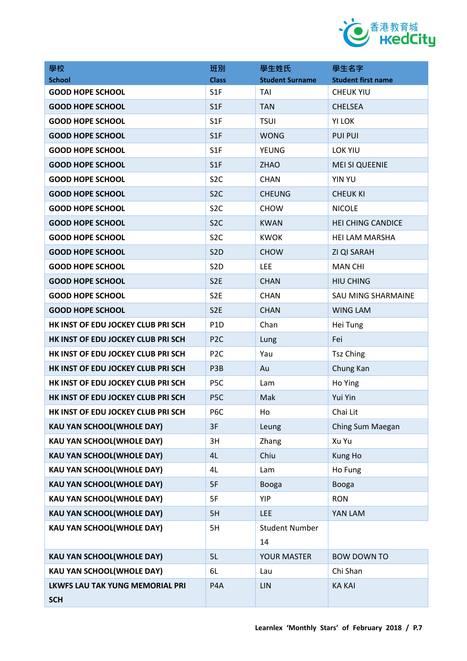

| 學校                                                   | 班別               | 學生姓氏                   | 學生名字                      |
|------------------------------------------------------|------------------|------------------------|---------------------------|
| <b>School</b>                                        | <b>Class</b>     | <b>Student Surname</b> | <b>Student first name</b> |
| <b>GOOD HOPE SCHOOL</b>                              | S <sub>1</sub> F | <b>TAI</b>             | <b>CHEUK YIU</b>          |
| <b>GOOD HOPE SCHOOL</b>                              | S1F              | <b>TAN</b>             | <b>CHELSEA</b>            |
| <b>GOOD HOPE SCHOOL</b>                              | S <sub>1F</sub>  | <b>TSUI</b>            | <b>YI LOK</b>             |
| <b>GOOD HOPE SCHOOL</b>                              | S1F              | <b>WONG</b>            | <b>PUI PUI</b>            |
| <b>GOOD HOPE SCHOOL</b>                              | S <sub>1F</sub>  | <b>YEUNG</b>           | LOK YIU                   |
| <b>GOOD HOPE SCHOOL</b>                              | S1F              | <b>ZHAO</b>            | <b>MEI SI QUEENIE</b>     |
| <b>GOOD HOPE SCHOOL</b>                              | S <sub>2</sub> C | <b>CHAN</b>            | <b>YIN YU</b>             |
| <b>GOOD HOPE SCHOOL</b>                              | S <sub>2C</sub>  | <b>CHEUNG</b>          | <b>CHEUK KI</b>           |
| <b>GOOD HOPE SCHOOL</b>                              | S <sub>2</sub> C | <b>CHOW</b>            | <b>NICOLE</b>             |
| <b>GOOD HOPE SCHOOL</b>                              | S <sub>2</sub> C | <b>KWAN</b>            | <b>HEI CHING CANDICE</b>  |
| <b>GOOD HOPE SCHOOL</b>                              | S <sub>2</sub> C | <b>KWOK</b>            | <b>HEI LAM MARSHA</b>     |
| <b>GOOD HOPE SCHOOL</b>                              | S <sub>2</sub> D | <b>CHOW</b>            | <b>ZI QI SARAH</b>        |
| <b>GOOD HOPE SCHOOL</b>                              | S <sub>2</sub> D | <b>LEE</b>             | <b>MAN CHI</b>            |
| <b>GOOD HOPE SCHOOL</b>                              | S <sub>2</sub> E | <b>CHAN</b>            | <b>HIU CHING</b>          |
| <b>GOOD HOPE SCHOOL</b>                              | S <sub>2E</sub>  | <b>CHAN</b>            | <b>SAU MING SHARMAINE</b> |
| <b>GOOD HOPE SCHOOL</b>                              | S <sub>2</sub> E | <b>CHAN</b>            | <b>WING LAM</b>           |
| HK INST OF EDU JOCKEY CLUB PRI SCH                   | P <sub>1</sub> D | Chan                   | Hei Tung                  |
| HK INST OF EDU JOCKEY CLUB PRI SCH                   | P <sub>2C</sub>  | Lung                   | Fei                       |
| HK INST OF EDU JOCKEY CLUB PRI SCH                   | P <sub>2C</sub>  | Yau                    | <b>Tsz Ching</b>          |
| HK INST OF EDU JOCKEY CLUB PRI SCH                   | P3B              | Au                     | Chung Kan                 |
| HK INST OF EDU JOCKEY CLUB PRI SCH                   | P <sub>5</sub> C | Lam                    | Ho Ying                   |
| HK INST OF EDU JOCKEY CLUB PRI SCH                   | P <sub>5</sub> C | Mak                    | Yui Yin                   |
| HK INST OF EDU JOCKEY CLUB PRI SCH                   | P6C              | Ho                     | Chai Lit                  |
| <b>KAU YAN SCHOOL(WHOLE DAY)</b>                     | 3F               | Leung                  | Ching Sum Maegan          |
| KAU YAN SCHOOL(WHOLE DAY)                            | 3H               | Zhang                  | Xu Yu                     |
| <b>KAU YAN SCHOOL(WHOLE DAY)</b>                     | 4L               | Chiu                   | Kung Ho                   |
| <b>KAU YAN SCHOOL(WHOLE DAY)</b>                     | 4L               | Lam                    | Ho Fung                   |
| <b>KAU YAN SCHOOL(WHOLE DAY)</b>                     | 5F               | Booga                  | Booga                     |
| <b>KAU YAN SCHOOL(WHOLE DAY)</b>                     | 5F               | <b>YIP</b>             | <b>RON</b>                |
| <b>KAU YAN SCHOOL(WHOLE DAY)</b>                     | 5H               | <b>LEE</b>             | YAN LAM                   |
| <b>KAU YAN SCHOOL(WHOLE DAY)</b>                     | 5H               | <b>Student Number</b>  |                           |
|                                                      |                  | 14                     |                           |
| <b>KAU YAN SCHOOL(WHOLE DAY)</b>                     | 5L               | YOUR MASTER            | <b>BOW DOWN TO</b>        |
| KAU YAN SCHOOL(WHOLE DAY)                            | 6L               | Lau                    | Chi Shan                  |
| <b>LKWFS LAU TAK YUNG MEMORIAL PRI</b><br><b>SCH</b> | P4A              | LIN                    | <b>KA KAI</b>             |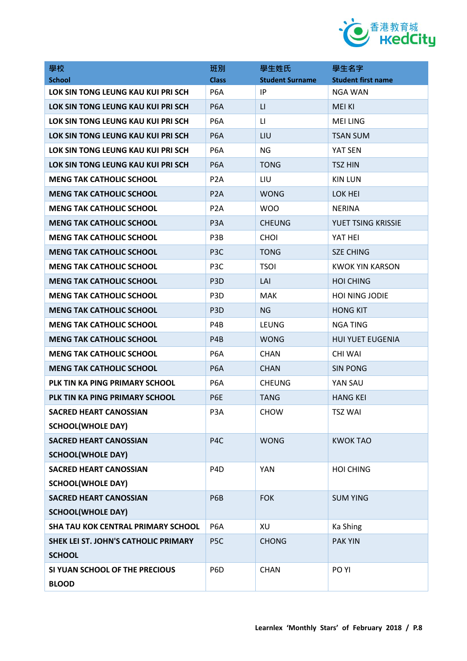

| 學校                                   | 班別               | 學生姓氏                   | 學生名字                      |
|--------------------------------------|------------------|------------------------|---------------------------|
| <b>School</b>                        | <b>Class</b>     | <b>Student Surname</b> | <b>Student first name</b> |
| LOK SIN TONG LEUNG KAU KUI PRI SCH   | P <sub>6</sub> A | IP.                    | NGA WAN                   |
| LOK SIN TONG LEUNG KAU KUI PRI SCH   | P <sub>6</sub> A | $\mathsf{L}$           | <b>MEI KI</b>             |
| LOK SIN TONG LEUNG KAU KUI PRI SCH   | P <sub>6</sub> A | LI                     | <b>MEI LING</b>           |
| LOK SIN TONG LEUNG KAU KUI PRI SCH   | P <sub>6</sub> A | LIU                    | <b>TSAN SUM</b>           |
| LOK SIN TONG LEUNG KAU KUI PRI SCH   | P <sub>6</sub> A | ΝG                     | YAT SEN                   |
| LOK SIN TONG LEUNG KAU KUI PRI SCH   | P <sub>6</sub> A | <b>TONG</b>            | <b>TSZ HIN</b>            |
| <b>MENG TAK CATHOLIC SCHOOL</b>      | P <sub>2</sub> A | LIU                    | KIN LUN                   |
| <b>MENG TAK CATHOLIC SCHOOL</b>      | P <sub>2</sub> A | <b>WONG</b>            | LOK HEI                   |
| <b>MENG TAK CATHOLIC SCHOOL</b>      | P <sub>2</sub> A | <b>WOO</b>             | <b>NERINA</b>             |
| <b>MENG TAK CATHOLIC SCHOOL</b>      | P <sub>3</sub> A | <b>CHEUNG</b>          | YUET TSING KRISSIE        |
| <b>MENG TAK CATHOLIC SCHOOL</b>      | P3B              | <b>CHOI</b>            | YAT HEI                   |
| <b>MENG TAK CATHOLIC SCHOOL</b>      | P <sub>3</sub> C | <b>TONG</b>            | <b>SZE CHING</b>          |
| <b>MENG TAK CATHOLIC SCHOOL</b>      | P <sub>3</sub> C | <b>TSOI</b>            | <b>KWOK YIN KARSON</b>    |
| <b>MENG TAK CATHOLIC SCHOOL</b>      | P <sub>3</sub> D | LAI                    | <b>HOI CHING</b>          |
| <b>MENG TAK CATHOLIC SCHOOL</b>      | P <sub>3</sub> D | <b>MAK</b>             | <b>HOI NING JODIE</b>     |
| <b>MENG TAK CATHOLIC SCHOOL</b>      | P <sub>3</sub> D | <b>NG</b>              | <b>HONG KIT</b>           |
| <b>MENG TAK CATHOLIC SCHOOL</b>      | P4B              | LEUNG                  | NGA TING                  |
| <b>MENG TAK CATHOLIC SCHOOL</b>      | P <sub>4</sub> B | <b>WONG</b>            | <b>HUI YUET EUGENIA</b>   |
| <b>MENG TAK CATHOLIC SCHOOL</b>      | P <sub>6</sub> A | <b>CHAN</b>            | <b>CHI WAI</b>            |
| <b>MENG TAK CATHOLIC SCHOOL</b>      | P <sub>6</sub> A | <b>CHAN</b>            | <b>SIN PONG</b>           |
| PLK TIN KA PING PRIMARY SCHOOL       | P <sub>6</sub> A | <b>CHEUNG</b>          | YAN SAU                   |
| PLK TIN KA PING PRIMARY SCHOOL       | P6E              | <b>TANG</b>            | <b>HANG KEI</b>           |
| <b>SACRED HEART CANOSSIAN</b>        | P <sub>3</sub> A | <b>CHOW</b>            | <b>TSZ WAI</b>            |
| <b>SCHOOL(WHOLE DAY)</b>             |                  |                        |                           |
| <b>SACRED HEART CANOSSIAN</b>        | P4C              | <b>WONG</b>            | <b>KWOK TAO</b>           |
| <b>SCHOOL(WHOLE DAY)</b>             |                  |                        |                           |
| <b>SACRED HEART CANOSSIAN</b>        | P <sub>4</sub> D | <b>YAN</b>             | <b>HOI CHING</b>          |
| <b>SCHOOL(WHOLE DAY)</b>             |                  |                        |                           |
| <b>SACRED HEART CANOSSIAN</b>        | P6B              | <b>FOK</b>             | <b>SUM YING</b>           |
| <b>SCHOOL(WHOLE DAY)</b>             |                  |                        |                           |
| SHA TAU KOK CENTRAL PRIMARY SCHOOL   | P <sub>6</sub> A | XU                     | <b>Ka Shing</b>           |
| SHEK LEI ST. JOHN'S CATHOLIC PRIMARY | P <sub>5C</sub>  | <b>CHONG</b>           | <b>PAK YIN</b>            |
| <b>SCHOOL</b>                        |                  |                        |                           |
| SI YUAN SCHOOL OF THE PRECIOUS       | P <sub>6</sub> D | <b>CHAN</b>            | PO YI                     |
| <b>BLOOD</b>                         |                  |                        |                           |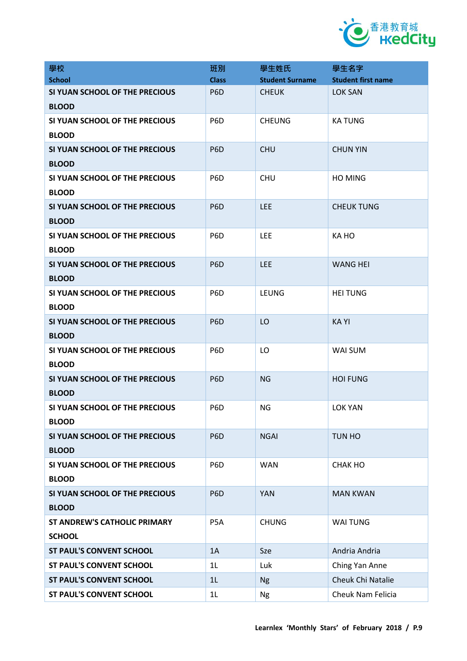

| 學校                                             | 班別               | 學生姓氏                   | 學生名字                      |
|------------------------------------------------|------------------|------------------------|---------------------------|
| <b>School</b>                                  | <b>Class</b>     | <b>Student Surname</b> | <b>Student first name</b> |
| SI YUAN SCHOOL OF THE PRECIOUS<br><b>BLOOD</b> | P <sub>6</sub> D | <b>CHEUK</b>           | <b>LOK SAN</b>            |
| SI YUAN SCHOOL OF THE PRECIOUS                 | P <sub>6</sub> D | <b>CHEUNG</b>          | <b>KATUNG</b>             |
| <b>BLOOD</b>                                   |                  |                        |                           |
| SI YUAN SCHOOL OF THE PRECIOUS                 | P <sub>6</sub> D | <b>CHU</b>             | <b>CHUN YIN</b>           |
| <b>BLOOD</b>                                   |                  |                        |                           |
| SI YUAN SCHOOL OF THE PRECIOUS<br><b>BLOOD</b> | P <sub>6</sub> D | <b>CHU</b>             | <b>HO MING</b>            |
| SI YUAN SCHOOL OF THE PRECIOUS<br><b>BLOOD</b> | P <sub>6</sub> D | <b>LEE</b>             | <b>CHEUK TUNG</b>         |
| SI YUAN SCHOOL OF THE PRECIOUS<br><b>BLOOD</b> | P <sub>6</sub> D | <b>LEE</b>             | KA HO                     |
| SI YUAN SCHOOL OF THE PRECIOUS                 | P <sub>6</sub> D | <b>LEE</b>             | <b>WANG HEI</b>           |
| <b>BLOOD</b>                                   |                  |                        |                           |
| SI YUAN SCHOOL OF THE PRECIOUS<br><b>BLOOD</b> | P <sub>6</sub> D | <b>LEUNG</b>           | <b>HEI TUNG</b>           |
| SI YUAN SCHOOL OF THE PRECIOUS<br><b>BLOOD</b> | P <sub>6</sub> D | LO                     | <b>KAYI</b>               |
| SI YUAN SCHOOL OF THE PRECIOUS                 | P <sub>6</sub> D | LO                     | WAI SUM                   |
| <b>BLOOD</b>                                   |                  |                        |                           |
| SI YUAN SCHOOL OF THE PRECIOUS<br><b>BLOOD</b> | P <sub>6</sub> D | <b>NG</b>              | <b>HOI FUNG</b>           |
| SI YUAN SCHOOL OF THE PRECIOUS<br><b>BLOOD</b> | P <sub>6</sub> D | ΝG                     | <b>LOK YAN</b>            |
| SI YUAN SCHOOL OF THE PRECIOUS<br><b>BLOOD</b> | P <sub>6</sub> D | <b>NGAI</b>            | TUN HO                    |
| SI YUAN SCHOOL OF THE PRECIOUS                 | P6D              | <b>WAN</b>             | CHAK HO                   |
| <b>BLOOD</b>                                   |                  |                        |                           |
| SI YUAN SCHOOL OF THE PRECIOUS<br><b>BLOOD</b> | P <sub>6</sub> D | <b>YAN</b>             | <b>MAN KWAN</b>           |
| <b>ST ANDREW'S CATHOLIC PRIMARY</b>            | P <sub>5</sub> A | <b>CHUNG</b>           | <b>WAI TUNG</b>           |
| <b>SCHOOL</b>                                  |                  |                        |                           |
| <b>ST PAUL'S CONVENT SCHOOL</b>                | 1A               | Sze                    | Andria Andria             |
| <b>ST PAUL'S CONVENT SCHOOL</b>                | 1L               | Luk                    | Ching Yan Anne            |
| <b>ST PAUL'S CONVENT SCHOOL</b>                | 1L               | <b>Ng</b>              | Cheuk Chi Natalie         |
| <b>ST PAUL'S CONVENT SCHOOL</b>                | 1L               | <b>Ng</b>              | Cheuk Nam Felicia         |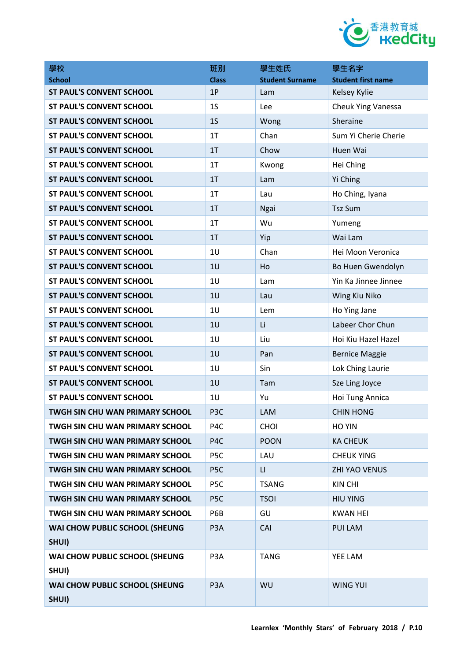

| 學校                                      | 班別               | 學生姓氏                   | 學生名字                      |
|-----------------------------------------|------------------|------------------------|---------------------------|
| <b>School</b>                           | <b>Class</b>     | <b>Student Surname</b> | <b>Student first name</b> |
| <b>ST PAUL'S CONVENT SCHOOL</b>         | 1P               | Lam                    | Kelsey Kylie              |
| <b>ST PAUL'S CONVENT SCHOOL</b>         | 1 <sub>S</sub>   | Lee                    | Cheuk Ying Vanessa        |
| <b>ST PAUL'S CONVENT SCHOOL</b>         | 1 <sub>S</sub>   | Wong                   | Sheraine                  |
| <b>ST PAUL'S CONVENT SCHOOL</b>         | 1T               | Chan                   | Sum Yi Cherie Cherie      |
| <b>ST PAUL'S CONVENT SCHOOL</b>         | 1T               | Chow                   | Huen Wai                  |
| <b>ST PAUL'S CONVENT SCHOOL</b>         | 1 <sub>T</sub>   | Kwong                  | Hei Ching                 |
| <b>ST PAUL'S CONVENT SCHOOL</b>         | 1 <sub>T</sub>   | Lam                    | Yi Ching                  |
| <b>ST PAUL'S CONVENT SCHOOL</b>         | 1T               | Lau                    | Ho Ching, Iyana           |
| <b>ST PAUL'S CONVENT SCHOOL</b>         | 1 <sub>T</sub>   | Ngai                   | <b>Tsz Sum</b>            |
| <b>ST PAUL'S CONVENT SCHOOL</b>         | 1T               | Wu                     | Yumeng                    |
| <b>ST PAUL'S CONVENT SCHOOL</b>         | 1T               | Yip                    | Wai Lam                   |
| <b>ST PAUL'S CONVENT SCHOOL</b>         | 1 <sub>U</sub>   | Chan                   | Hei Moon Veronica         |
| <b>ST PAUL'S CONVENT SCHOOL</b>         | 1U               | Ho                     | Bo Huen Gwendolyn         |
| <b>ST PAUL'S CONVENT SCHOOL</b>         | 1U               | Lam                    | Yin Ka Jinnee Jinnee      |
| <b>ST PAUL'S CONVENT SCHOOL</b>         | 1U               | Lau                    | Wing Kiu Niko             |
| <b>ST PAUL'S CONVENT SCHOOL</b>         | 1 <sub>U</sub>   | Lem                    | Ho Ying Jane              |
| <b>ST PAUL'S CONVENT SCHOOL</b>         | 1 <sub>U</sub>   | Li                     | Labeer Chor Chun          |
| <b>ST PAUL'S CONVENT SCHOOL</b>         | 1 <sub>U</sub>   | Liu                    | Hoi Kiu Hazel Hazel       |
| <b>ST PAUL'S CONVENT SCHOOL</b>         | 1U               | Pan                    | <b>Bernice Maggie</b>     |
| <b>ST PAUL'S CONVENT SCHOOL</b>         | 1 <sub>U</sub>   | Sin                    | Lok Ching Laurie          |
| <b>ST PAUL'S CONVENT SCHOOL</b>         | 1U               | Tam                    | Sze Ling Joyce            |
| <b>ST PAUL'S CONVENT SCHOOL</b>         | 1U               | Yu                     | Hoi Tung Annica           |
| TWGH SIN CHU WAN PRIMARY SCHOOL         | P <sub>3</sub> C | LAM                    | <b>CHIN HONG</b>          |
| TWGH SIN CHU WAN PRIMARY SCHOOL         | P <sub>4</sub> C | <b>CHOI</b>            | HO YIN                    |
| TWGH SIN CHU WAN PRIMARY SCHOOL         | P4C              | <b>POON</b>            | <b>KA CHEUK</b>           |
| TWGH SIN CHU WAN PRIMARY SCHOOL         | P <sub>5</sub> C | LAU                    | <b>CHEUK YING</b>         |
| TWGH SIN CHU WAN PRIMARY SCHOOL         | P <sub>5C</sub>  | $\mathsf{L}\mathsf{L}$ | <b>ZHI YAO VENUS</b>      |
| <b>TWGH SIN CHU WAN PRIMARY SCHOOL</b>  | P <sub>5</sub> C | <b>TSANG</b>           | <b>KIN CHI</b>            |
| TWGH SIN CHU WAN PRIMARY SCHOOL         | P <sub>5C</sub>  | <b>TSOI</b>            | <b>HIU YING</b>           |
| TWGH SIN CHU WAN PRIMARY SCHOOL         | P6B              | GU                     | <b>KWAN HEI</b>           |
| WAI CHOW PUBLIC SCHOOL (SHEUNG          | P <sub>3</sub> A | CAI                    | <b>PUI LAM</b>            |
| SHUI)                                   |                  |                        |                           |
| WAI CHOW PUBLIC SCHOOL (SHEUNG<br>SHUI) | P <sub>3</sub> A | <b>TANG</b>            | YEE LAM                   |
| WAI CHOW PUBLIC SCHOOL (SHEUNG          | P <sub>3</sub> A | WU                     | <b>WING YUI</b>           |
| SHUI)                                   |                  |                        |                           |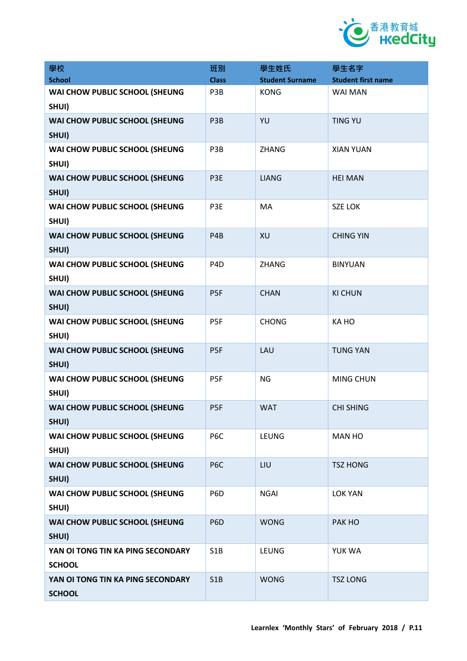

| 學校                                                 | 班別               | 學生姓氏                   | 學生名字                      |
|----------------------------------------------------|------------------|------------------------|---------------------------|
| <b>School</b>                                      | <b>Class</b>     | <b>Student Surname</b> | <b>Student first name</b> |
| WAI CHOW PUBLIC SCHOOL (SHEUNG<br>SHUI)            | P3B              | <b>KONG</b>            | <b>WAI MAN</b>            |
| WAI CHOW PUBLIC SCHOOL (SHEUNG<br>SHUI)            | P3B              | YU                     | <b>TING YU</b>            |
| WAI CHOW PUBLIC SCHOOL (SHEUNG<br>SHUI)            | P3B              | <b>ZHANG</b>           | <b>XIAN YUAN</b>          |
| WAI CHOW PUBLIC SCHOOL (SHEUNG<br>SHUI)            | P3E              | <b>LIANG</b>           | <b>HEI MAN</b>            |
| WAI CHOW PUBLIC SCHOOL (SHEUNG<br>SHUI)            | P3E              | <b>MA</b>              | <b>SZE LOK</b>            |
| WAI CHOW PUBLIC SCHOOL (SHEUNG<br>SHUI)            | P <sub>4</sub> B | XU                     | <b>CHING YIN</b>          |
| WAI CHOW PUBLIC SCHOOL (SHEUNG<br>SHUI)            | P <sub>4</sub> D | <b>ZHANG</b>           | <b>BINYUAN</b>            |
| WAI CHOW PUBLIC SCHOOL (SHEUNG<br>SHUI)            | P <sub>5F</sub>  | <b>CHAN</b>            | <b>KI CHUN</b>            |
| WAI CHOW PUBLIC SCHOOL (SHEUNG<br>SHUI)            | P <sub>5F</sub>  | <b>CHONG</b>           | KA HO                     |
| WAI CHOW PUBLIC SCHOOL (SHEUNG<br>SHUI)            | P <sub>5F</sub>  | LAU                    | <b>TUNG YAN</b>           |
| WAI CHOW PUBLIC SCHOOL (SHEUNG<br>SHUI)            | P <sub>5F</sub>  | <b>NG</b>              | MING CHUN                 |
| WAI CHOW PUBLIC SCHOOL (SHEUNG<br>SHUI)            | P <sub>5F</sub>  | <b>WAT</b>             | <b>CHI SHING</b>          |
| WAI CHOW PUBLIC SCHOOL (SHEUNG<br>SHUI)            | P <sub>6</sub> C | <b>LEUNG</b>           | <b>MAN HO</b>             |
| WAI CHOW PUBLIC SCHOOL (SHEUNG<br>SHUI)            | P <sub>6</sub> C | LIU                    | <b>TSZ HONG</b>           |
| WAI CHOW PUBLIC SCHOOL (SHEUNG<br>SHUI)            | P6D              | <b>NGAI</b>            | <b>LOK YAN</b>            |
| WAI CHOW PUBLIC SCHOOL (SHEUNG<br>SHUI)            | P <sub>6</sub> D | <b>WONG</b>            | PAK HO                    |
| YAN OI TONG TIN KA PING SECONDARY<br><b>SCHOOL</b> | S1B              | <b>LEUNG</b>           | YUK WA                    |
| YAN OI TONG TIN KA PING SECONDARY<br><b>SCHOOL</b> | S1B              | <b>WONG</b>            | <b>TSZ LONG</b>           |